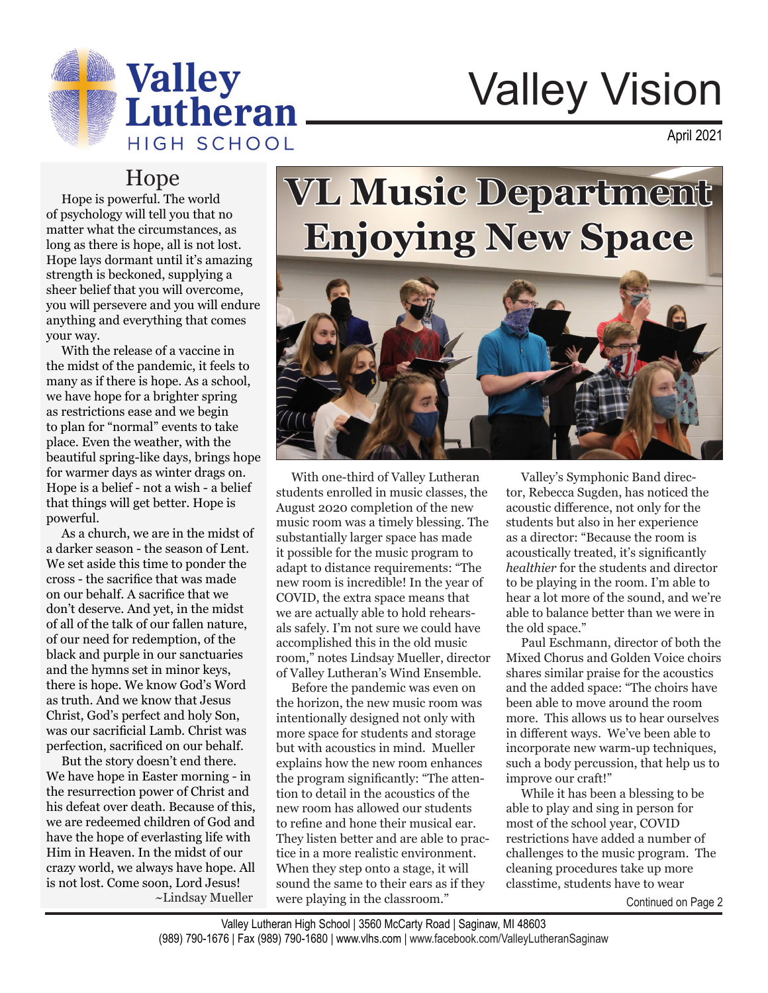

# Valley Vision

April 2021

#### Hope

 Hope is powerful. The world of psychology will tell you that no matter what the circumstances, as long as there is hope, all is not lost. Hope lays dormant until it's amazing strength is beckoned, supplying a sheer belief that you will overcome, you will persevere and you will endure anything and everything that comes your way.

 With the release of a vaccine in the midst of the pandemic, it feels to many as if there is hope. As a school, we have hope for a brighter spring as restrictions ease and we begin to plan for "normal" events to take place. Even the weather, with the beautiful spring-like days, brings hope for warmer days as winter drags on. Hope is a belief - not a wish - a belief that things will get better. Hope is powerful.

 As a church, we are in the midst of a darker season - the season of Lent. We set aside this time to ponder the cross - the sacrifice that was made on our behalf. A sacrifice that we don't deserve. And yet, in the midst of all of the talk of our fallen nature, of our need for redemption, of the black and purple in our sanctuaries and the hymns set in minor keys, there is hope. We know God's Word as truth. And we know that Jesus Christ, God's perfect and holy Son, was our sacrificial Lamb. Christ was perfection, sacrificed on our behalf.

 But the story doesn't end there. We have hope in Easter morning - in the resurrection power of Christ and his defeat over death. Because of this, we are redeemed children of God and have the hope of everlasting life with Him in Heaven. In the midst of our crazy world, we always have hope. All is not lost. Come soon, Lord Jesus! ~Lindsay Mueller

## **VL Music Department Enjoying New Space**



 With one-third of Valley Lutheran students enrolled in music classes, the August 2020 completion of the new music room was a timely blessing. The substantially larger space has made it possible for the music program to adapt to distance requirements: "The new room is incredible! In the year of COVID, the extra space means that we are actually able to hold rehearsals safely. I'm not sure we could have accomplished this in the old music room," notes Lindsay Mueller, director of Valley Lutheran's Wind Ensemble.

 Before the pandemic was even on the horizon, the new music room was intentionally designed not only with more space for students and storage but with acoustics in mind. Mueller explains how the new room enhances the program significantly: "The attention to detail in the acoustics of the new room has allowed our students to refine and hone their musical ear. They listen better and are able to practice in a more realistic environment. When they step onto a stage, it will sound the same to their ears as if they were playing in the classroom."

 Valley's Symphonic Band director, Rebecca Sugden, has noticed the acoustic difference, not only for the students but also in her experience as a director: "Because the room is acoustically treated, it's significantly *healthier* for the students and director to be playing in the room. I'm able to hear a lot more of the sound, and we're able to balance better than we were in the old space."

 Paul Eschmann, director of both the Mixed Chorus and Golden Voice choirs shares similar praise for the acoustics and the added space: "The choirs have been able to move around the room more. This allows us to hear ourselves in different ways. We've been able to incorporate new warm-up techniques, such a body percussion, that help us to improve our craft!"

 While it has been a blessing to be able to play and sing in person for most of the school year, COVID restrictions have added a number of challenges to the music program. The cleaning procedures take up more classtime, students have to wear

Continued on Page 2